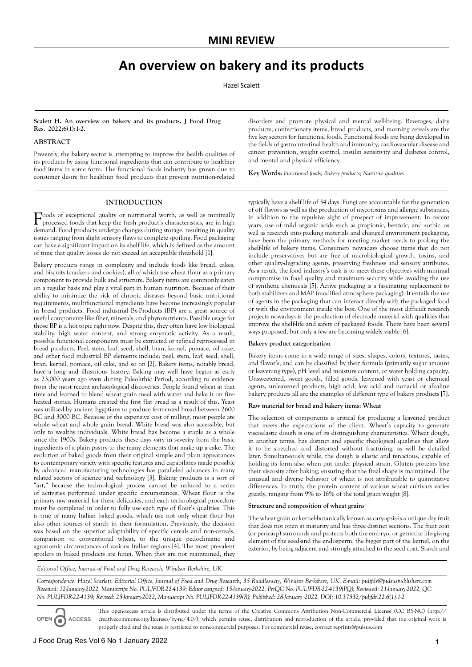# **An overview on bakery and its products**

Hazel Scalett

## **Scalett H. An overview on bakery and its products. J Food Drug Res. 2022;6(1):1-2.**

## **ABSTRACT**

Presently, the bakery sector is attempting to improve the health qualities of its products by using functional ingredients that can contribute to healthier food items in some form. The functional foods industry has grown due to consumer desire for healthier food products that prevent nutrition-related

disorders and promote physical and mental well-being. Beverages, dairy products, confectionary items, bread products, and morning cereals are the five key sectors for functional foods. Functional foods are being developed in the fields of gastrointestinal health and immunity, cardiovascular disease and cancer prevention, weight control, insulin sensitivity and diabetes control, and mental and physical efficiency.

**Key Words:** *Functional foods; Bakery products; Nutritive qualities*

## **INTRODUCTION**

 $\Gamma$ oods of exceptional quality or nutritional worth, as well as minimally processed foods that keep the fund processed foods that keep the fresh product's characteristics, are in high demand. Food products undergo changes during storage, resulting in quality issues ranging from slight sensory flaws to complete spoiling. Food packaging can have a significant impact on its shelf life, which is defined as the amount of time that quality losses do not exceed an acceptable threshold [1].

Bakery products range in complexity and include foods like bread, cakes, and biscuits (crackers and cookies), all of which use wheat flour as a primary component to provide bulk and structure. Bakery items are commonly eaten on a regular basis and play a vital part in human nutrition. Because of their ability to minimize the risk of chronic diseases beyond basic nutritional requirements, multifunctional ingredients have become increasingly popular in bread products. Food industrial By-Products (BP) are a great source of useful components like fiber, minerals, and phytonutrients. Possible usage for those BP is a hot topic right now. Despite this, they often have low biological stability, high water content, and strong enzymatic activity. As a result, possible functional components must be extracted or refined reprocessed in bread products. Peel, stem, leaf, seed, shell, bran, kernel, pomace, oil cake, and other food industrial BP elements include: peel, stem, leaf, seed, shell, bran, kernel, pomace, oil cake, and so on [2]. Bakery items, notably bread, have a long and illustrious history. Baking may well have begun as early as 23,000 years ago even during Paleolithic Period, according to evidence from the most recent archaeological discoveries. People found wheat at that time and learned to blend wheat grain meal with water and bake it on fireheated stones. Humans created the first flat bread as a result of this. Yeast was utilized by ancient Egyptians to produce fermented bread between 2600 BC and 3000 BC. Because of the expensive cost of milling, most people ate whole wheat and whole grain bread. White bread was also accessible, but only to wealthy individuals. White bread has become a staple as a whole since the 1900s. Bakery products these days vary in severity from the basic ingredients of a plain pastry to the many elements that make up a cake. The evolution of baked goods from their original simple and plain appearances to contemporary variety with specific features and capabilities made possible by advanced manufacturing technologies has paralleled advances in many related sectors of science and technology [3]. Baking products is a sort of "art," because the technological process cannot be reduced to a series of activities performed under specific circumstances. Wheat flour is the primary raw material for these delicacies, and each technological procedure must be completed in order to fully use each type of flour's qualities. This is true of many Italian baked goods, which use not only wheat flour but also other sources of starch in their formulation. Previously, the decision was based on the superior adaptability of specific cereals and non-cereals, comparison to conventional wheat, to the unique pedoclimatic and agronomic circumstances of various Italian regions [4]. The most prevalent spoilers in baked products are fungi. When they are not maintained, they

typically have a shelf life of 34 days. Fungi are accountable for the generation of off flavors as well as the production of mycotoxins and allergic substances, in addition to the repulsive sight of prospect of improvement. In recent years, use of mild organic acids such as propionic, benzoic, and sorbic, as well as research into packing materials and changed environment packaging, have been the primary methods for meeting market needs to prolong the shelf-life of bakery items. Consumers nowadays choose items that do not include preservatives but are free of microbiological growth, toxins, and other quality-degrading agents, preserving freshness and sensory attributes. As a result, the food industry's task is to meet these objectives with minimal compromise in food quality and maximum security while avoiding the use of synthetic chemicals [5]. Active packaging is a fascinating replacement to both stabilizers and MAP (modified atmosphere packaging). It entails the use of agents in the packaging that can interact directly with the packaged food or with the environment inside the box. One of the most difficult research projects nowadays is the production of electrode material with qualities that improve the shelf-life and safety of packaged foods. There have been several ways proposed, but only a few are becoming widely viable [6].

## **Bakery product categorization**

Bakery items come in a wide range of sizes, shapes, colors, textures, tastes, and flavor's, and can be classified by their formula (primarily sugar amount or leavening type), pH level and moisture content, or water holding capacity. Unsweetened, sweet goods, filled goods, leavened with yeast or chemical agents, unleavened products, high acid, low acid and nonacid or alkaline bakery products all are the examples of different type of bakery products [7].

#### **Raw material for bread and bakery items: Wheat**

The selection of components is critical for producing a leavened product that meets the expectations of the client. Wheat's capacity to generate viscoelastic dough is one of its distinguishing characteristics. Wheat dough, in another terms, has distinct and specific rheological qualities that allow it to be stretched and distorted without fracturing, as will be detailed later. Simultaneously while, the dough is elastic and tenacious, capable of holding its form also when put under physical strain. Gluten proteins lose their viscosity after baking, ensuring that the final shape is maintained. The unusual and diverse behavior of wheat is not attributable to quantitative differences. In truth, the protein content of various wheat cultivars varies greatly, ranging from 9% to 16% of the total grain weight [8].

## **Structure and composition of wheat grains**

The wheat grain or kernel-botanically known as caryopsis-is a unique dry fruit that does not open at maturity and has three distinct sections. The fruit coat (or pericarp) surrounds and protects both the embryo, or germ-the life-giving element of the seed-and the endosperm, the bigger part of the kernel, on the exterior, by being adjacent and strongly attached to the seed coat. Starch and

*Editorial Office, Journal of Food and Drug Research, Windsor Berkshire, UK*

*Correspondence: Hazel Scarlett, Editorial Office, Journal of Food and Drug Research, 35 Ruddlesway, Windsor Berkshire, UK, E-mail: puljfdr@pulsuspublishers.com Received: 12-January-2022, Manuscript No. PULJFDR-22-4139; Editor assigned: 15-January-2022, PreQC No. PULJFDR-22-4139(PQ); Reviewed: 21-January-2022, QC No. PULJFDR-22-4139; Revised: 25-January-2022, Manuscript No. PULJFDR-22-4139(R); Published: 28-January -2022, DOI: 10.37532/puljfdr.22.6(1).1-2*

**OPEN ACCESS**

This open-access article is distributed under the terms of the Creative Commons Attribution Non-Commercial License (CC BY-NC) (http:// creativecommons.org/licenses/by-nc/4.0/), which permits reuse, distribution and reproduction of the article, provided that the original work is properly cited and the reuse is restricted to noncommercial purposes. For commercial reuse, contact reprints@pulsus.com